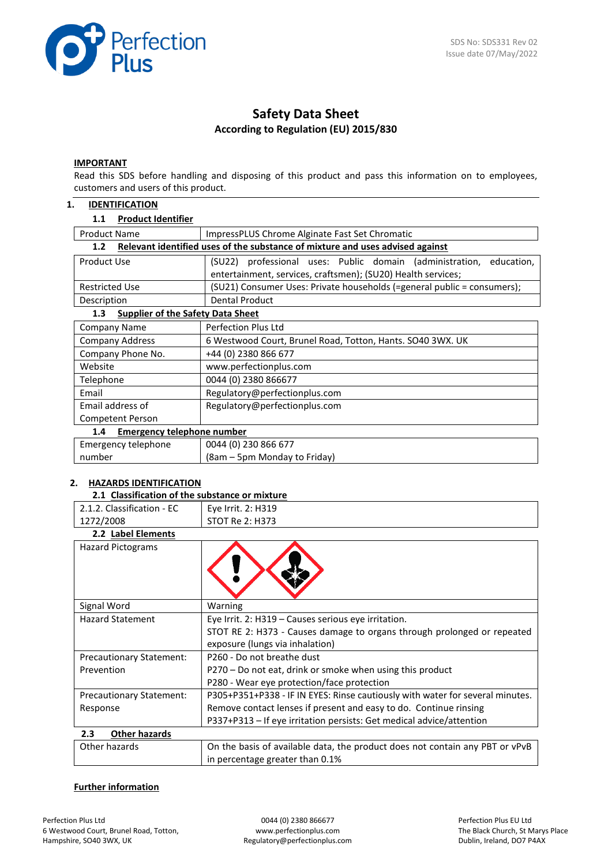

# **Safety Data Sheet According to Regulation (EU) 2015/830**

#### **IMPORTANT**

Read this SDS before handling and disposing of this product and pass this information on to employees, customers and users of this product.

# **1. IDENTIFICATION**

| <b>Product Identifier</b><br>1.1                |                                                                                                                                        |  |  |  |
|-------------------------------------------------|----------------------------------------------------------------------------------------------------------------------------------------|--|--|--|
| <b>Product Name</b>                             | ImpressPLUS Chrome Alginate Fast Set Chromatic                                                                                         |  |  |  |
| 1.2                                             | Relevant identified uses of the substance of mixture and uses advised against                                                          |  |  |  |
| Product Use                                     | (SU22) professional uses: Public domain (administration,<br>education,<br>entertainment, services, craftsmen); (SU20) Health services; |  |  |  |
| <b>Restricted Use</b>                           | (SU21) Consumer Uses: Private households (=general public = consumers);                                                                |  |  |  |
| Description                                     | <b>Dental Product</b>                                                                                                                  |  |  |  |
| <b>Supplier of the Safety Data Sheet</b><br>1.3 |                                                                                                                                        |  |  |  |
| Company Name                                    | Perfection Plus Ltd                                                                                                                    |  |  |  |
| <b>Company Address</b>                          | 6 Westwood Court, Brunel Road, Totton, Hants. SO40 3WX. UK                                                                             |  |  |  |
| Company Phone No.                               | +44 (0) 2380 866 677                                                                                                                   |  |  |  |
| Website                                         | www.perfectionplus.com                                                                                                                 |  |  |  |
| Telephone                                       | 0044 (0) 2380 866677                                                                                                                   |  |  |  |
| Email                                           | Regulatory@perfectionplus.com                                                                                                          |  |  |  |
| Email address of                                | Regulatory@perfectionplus.com                                                                                                          |  |  |  |
| <b>Competent Person</b>                         |                                                                                                                                        |  |  |  |
| <b>Emergency telephone number</b><br>1.4        |                                                                                                                                        |  |  |  |
| Emergency telephone                             | 0044 (0) 230 866 677                                                                                                                   |  |  |  |
| number                                          | (8am – 5pm Monday to Friday)                                                                                                           |  |  |  |

# **2. HAZARDS IDENTIFICATION**

| 2.1 Classification of the substance or mixtur |  |  |  |
|-----------------------------------------------|--|--|--|

|                                 | 2.1 Classification of the substance or mixture                                                                  |  |  |  |  |
|---------------------------------|-----------------------------------------------------------------------------------------------------------------|--|--|--|--|
| 2.1.2. Classification - EC      | Eye Irrit. 2: H319                                                                                              |  |  |  |  |
| 1272/2008                       | <b>STOT Re 2: H373</b>                                                                                          |  |  |  |  |
| 2.2 Label Elements              |                                                                                                                 |  |  |  |  |
| <b>Hazard Pictograms</b>        |                                                                                                                 |  |  |  |  |
| Signal Word                     | Warning                                                                                                         |  |  |  |  |
| <b>Hazard Statement</b>         | Eye Irrit. 2: H319 - Causes serious eye irritation.                                                             |  |  |  |  |
|                                 | STOT RE 2: H373 - Causes damage to organs through prolonged or repeated<br>exposure (lungs via inhalation)      |  |  |  |  |
| <b>Precautionary Statement:</b> | P260 - Do not breathe dust                                                                                      |  |  |  |  |
| Prevention                      | P270 – Do not eat, drink or smoke when using this product                                                       |  |  |  |  |
|                                 | P280 - Wear eye protection/face protection                                                                      |  |  |  |  |
| <b>Precautionary Statement:</b> | P305+P351+P338 - IF IN EYES: Rinse cautiously with water for several minutes.                                   |  |  |  |  |
| Response                        | Remove contact lenses if present and easy to do. Continue rinsing                                               |  |  |  |  |
|                                 | P337+P313 - If eye irritation persists: Get medical advice/attention                                            |  |  |  |  |
| 2.3<br><b>Other hazards</b>     |                                                                                                                 |  |  |  |  |
| Other hazards                   | On the basis of available data, the product does not contain any PBT or vPvB<br>in percentage greater than 0.1% |  |  |  |  |

# **Further information**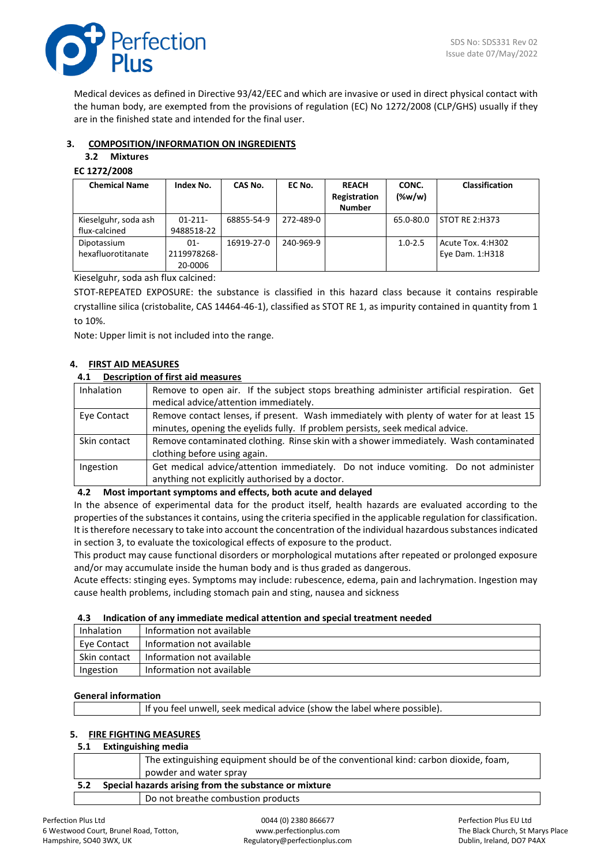

Medical devices as defined in Directive 93/42/EEC and which are invasive or used in direct physical contact with the human body, are exempted from the provisions of regulation (EC) No 1272/2008 (CLP/GHS) usually if they are in the finished state and intended for the final user.

# **3. COMPOSITION/INFORMATION ON INGREDIENTS**

# **3.2 Mixtures**

# **EC 1272/2008**

| <b>Chemical Name</b> | Index No.   | CAS No.    | EC No.    | <b>REACH</b><br>Registration | CONC.<br>$(\%w/w)$ | Classification    |
|----------------------|-------------|------------|-----------|------------------------------|--------------------|-------------------|
|                      |             |            |           | <b>Number</b>                |                    |                   |
| Kieselguhr, soda ash | $01-211-$   | 68855-54-9 | 272-489-0 |                              | 65.0-80.0          | STOT RE 2:H373    |
| flux-calcined        | 9488518-22  |            |           |                              |                    |                   |
| Dipotassium          | $01 -$      | 16919-27-0 | 240-969-9 |                              | $1.0 - 2.5$        | Acute Tox. 4:H302 |
| hexafluorotitanate   | 2119978268- |            |           |                              |                    | Eye Dam. 1:H318   |
|                      | 20-0006     |            |           |                              |                    |                   |

Kieselguhr, soda ash flux calcined:

STOT-REPEATED EXPOSURE: the substance is classified in this hazard class because it contains respirable crystalline silica (cristobalite, CAS 14464-46-1), classified as STOT RE 1, as impurity contained in quantity from 1 to 10%.

Note: Upper limit is not included into the range.

# **4. FIRST AID MEASURES**

# **4.1 Description of first aid measures**

| <b>Inhalation</b> | Remove to open air. If the subject stops breathing administer artificial respiration. Get |  |  |
|-------------------|-------------------------------------------------------------------------------------------|--|--|
|                   | medical advice/attention immediately.                                                     |  |  |
| Eye Contact       | Remove contact lenses, if present. Wash immediately with plenty of water for at least 15  |  |  |
|                   | minutes, opening the eyelids fully. If problem persists, seek medical advice.             |  |  |
| Skin contact      | Remove contaminated clothing. Rinse skin with a shower immediately. Wash contaminated     |  |  |
|                   | clothing before using again.                                                              |  |  |
| Ingestion         | Get medical advice/attention immediately. Do not induce vomiting. Do not administer       |  |  |
|                   | anything not explicitly authorised by a doctor.                                           |  |  |

# **4.2 Most important symptoms and effects, both acute and delayed**

In the absence of experimental data for the product itself, health hazards are evaluated according to the properties of the substances it contains, using the criteria specified in the applicable regulation for classification. It is therefore necessary to take into account the concentration of the individual hazardous substances indicated in section 3, to evaluate the toxicological effects of exposure to the product.

This product may cause functional disorders or morphological mutations after repeated or prolonged exposure and/or may accumulate inside the human body and is thus graded as dangerous.

Acute effects: stinging eyes. Symptoms may include: rubescence, edema, pain and lachrymation. Ingestion may cause health problems, including stomach pain and sting, nausea and sickness

#### **4.3 Indication of any immediate medical attention and special treatment needed**

| Inhalation   | Information not available |
|--------------|---------------------------|
| Eve Contact  | Information not available |
| Skin contact | Information not available |
| Ingestion    | Information not available |

#### **General information**

|  | If you feel unwell, seek medical advice (show the label where possible). |  |  |
|--|--------------------------------------------------------------------------|--|--|
|--|--------------------------------------------------------------------------|--|--|

#### **5. FIRE FIGHTING MEASURES**

#### **5.1 Extinguishing media**

|     | The extinguishing equipment should be of the conventional kind: carbon dioxide, foam, |
|-----|---------------------------------------------------------------------------------------|
|     | powder and water spray                                                                |
| 5.2 | Special hazards arising from the substance or mixture                                 |
|     | Do not breathe combustion products                                                    |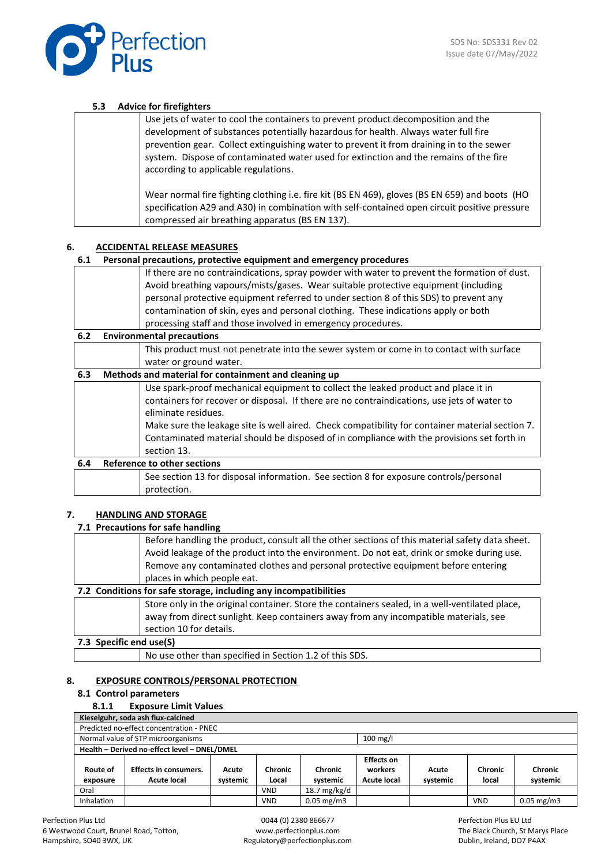

## **5.3 Advice for firefighters**

| Use jets of water to cool the containers to prevent product decomposition and the<br>development of substances potentially hazardous for health. Always water full fire<br>prevention gear. Collect extinguishing water to prevent it from draining in to the sewer<br>system. Dispose of contaminated water used for extinction and the remains of the fire<br>according to applicable regulations. |
|------------------------------------------------------------------------------------------------------------------------------------------------------------------------------------------------------------------------------------------------------------------------------------------------------------------------------------------------------------------------------------------------------|
| Wear normal fire fighting clothing i.e. fire kit (BS EN 469), gloves (BS EN 659) and boots (HO<br>specification A29 and A30) in combination with self-contained open circuit positive pressure<br>compressed air breathing apparatus (BS EN 137).                                                                                                                                                    |

### **6. ACCIDENTAL RELEASE MEASURES**

#### **6.1 Personal precautions, protective equipment and emergency procedures**

| If there are no contraindications, spray powder with water to prevent the formation of dust. |
|----------------------------------------------------------------------------------------------|
| Avoid breathing vapours/mists/gases. Wear suitable protective equipment (including           |
| personal protective equipment referred to under section 8 of this SDS) to prevent any        |
| contamination of skin, eyes and personal clothing. These indications apply or both           |
| processing staff and those involved in emergency procedures.                                 |

**6.2 Environmental precautions**

This product must not penetrate into the sewer system or come in to contact with surface water or ground water.

#### **6.3 Methods and material for containment and cleaning up**

|     | Use spark-proof mechanical equipment to collect the leaked product and place it in              |
|-----|-------------------------------------------------------------------------------------------------|
|     | containers for recover or disposal. If there are no contraindications, use jets of water to     |
|     |                                                                                                 |
|     | eliminate residues.                                                                             |
|     |                                                                                                 |
|     | Make sure the leakage site is well aired. Check compatibility for container material section 7. |
|     | Contaminated material should be disposed of in compliance with the provisions set forth in      |
|     | section 13.                                                                                     |
| 6.4 | <b>Reference to other sections</b>                                                              |
|     |                                                                                                 |

# See section 13 for disposal information. See section 8 for exposure controls/personal protection.

#### **7. HANDLING AND STORAGE**

#### **7.1 Precautions for safe handling**

|                                                                  | Before handling the product, consult all the other sections of this material safety data sheet. |  |
|------------------------------------------------------------------|-------------------------------------------------------------------------------------------------|--|
|                                                                  | Avoid leakage of the product into the environment. Do not eat, drink or smoke during use.       |  |
|                                                                  | Remove any contaminated clothes and personal protective equipment before entering               |  |
|                                                                  | places in which people eat.                                                                     |  |
| 7.2 Conditions for safe storage, including any incompatibilities |                                                                                                 |  |
|                                                                  | Store only in the original container. Store the containers sealed, in a well-ventilated place,  |  |
|                                                                  | away from direct sunlight. Keep containers away from any incompatible materials, see            |  |
|                                                                  | section 10 for details.                                                                         |  |
| 7.3 Specific end use(S)                                          |                                                                                                 |  |

#### **7.3 Specific end use(S)**

No use other than specified in Section 1.2 of this SDS.

#### **8. EXPOSURE CONTROLS/PERSONAL PROTECTION**

#### **8.1 Control parameters**

#### **8.1.1 Exposure Limit Values**

| Kieselguhr, soda ash flux-calcined |                                                  |          |            |              |                   |          |            |                       |
|------------------------------------|--------------------------------------------------|----------|------------|--------------|-------------------|----------|------------|-----------------------|
|                                    | Predicted no-effect concentration - PNEC         |          |            |              |                   |          |            |                       |
|                                    | Normal value of STP microorganisms<br>$100$ mg/l |          |            |              |                   |          |            |                       |
|                                    | Health - Derived no-effect level - DNEL/DMEL     |          |            |              |                   |          |            |                       |
|                                    |                                                  |          |            |              | <b>Effects on</b> |          |            |                       |
| Route of                           | <b>Effects in consumers.</b>                     | Acute    | Chronic    | Chronic      | workers           | Acute    | Chronic    | <b>Chronic</b>        |
| exposure                           | Acute local                                      | systemic | Local      | systemic     | Acute local       | systemic | local      | systemic              |
| Oral                               |                                                  |          | <b>VND</b> | 18.7 mg/kg/d |                   |          |            |                       |
| Inhalation                         |                                                  |          | <b>VND</b> | $0.05$ mg/m3 |                   |          | <b>VND</b> | $0.05 \text{ mg/m}$ 3 |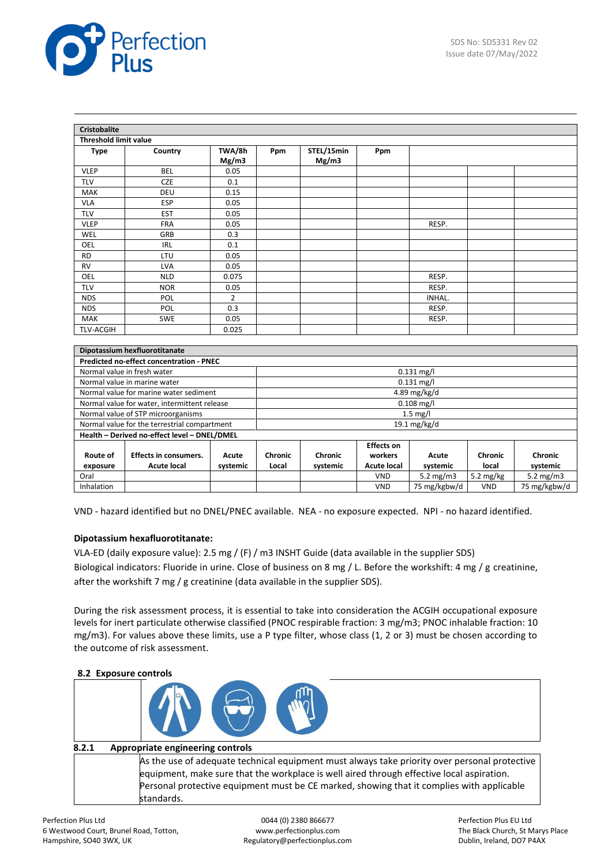

| <b>Cristobalite</b>                          |                                          |                |              |            |                    |              |            |              |
|----------------------------------------------|------------------------------------------|----------------|--------------|------------|--------------------|--------------|------------|--------------|
|                                              | <b>Threshold limit value</b>             |                |              |            |                    |              |            |              |
| <b>Type</b>                                  | Country                                  | TWA/8h         | Ppm          | STEL/15min | Ppm                |              |            |              |
|                                              |                                          | Mg/m3          |              | Mg/m3      |                    |              |            |              |
| <b>VLEP</b>                                  | <b>BEL</b>                               | 0.05           |              |            |                    |              |            |              |
| <b>TLV</b>                                   | CZE                                      | 0.1            |              |            |                    |              |            |              |
| <b>MAK</b>                                   | DEU                                      | 0.15           |              |            |                    |              |            |              |
| <b>VLA</b>                                   | ESP                                      | 0.05           |              |            |                    |              |            |              |
| <b>TLV</b>                                   | <b>EST</b>                               | 0.05           |              |            |                    |              |            |              |
| <b>VLEP</b>                                  | <b>FRA</b>                               | 0.05           |              |            |                    | RESP.        |            |              |
| <b>WEL</b>                                   | GRB                                      | 0.3            |              |            |                    |              |            |              |
| OEL                                          | <b>IRL</b>                               | 0.1            |              |            |                    |              |            |              |
| <b>RD</b>                                    | LTU                                      | 0.05           |              |            |                    |              |            |              |
| <b>RV</b>                                    | <b>LVA</b>                               | 0.05           |              |            |                    |              |            |              |
| OEL                                          | <b>NLD</b>                               | 0.075          |              |            |                    | RESP.        |            |              |
| <b>TLV</b>                                   | <b>NOR</b>                               | 0.05           |              |            |                    | RESP.        |            |              |
| <b>NDS</b>                                   | POL                                      | $\overline{2}$ |              |            |                    | INHAL.       |            |              |
| <b>NDS</b>                                   | POL                                      | 0.3            |              |            |                    | RESP.        |            |              |
| <b>MAK</b>                                   | <b>SWE</b>                               | 0.05           |              |            |                    | RESP.        |            |              |
| <b>TLV-ACGIH</b>                             |                                          | 0.025          |              |            |                    |              |            |              |
|                                              |                                          |                |              |            |                    |              |            |              |
|                                              | Dipotassium hexfluorotitanate            |                |              |            |                    |              |            |              |
|                                              | Predicted no-effect concentration - PNEC |                |              |            |                    |              |            |              |
| Normal value in fresh water                  |                                          |                |              |            |                    | $0.131$ mg/l |            |              |
|                                              | Normal value in marine water             |                | $0.131$ mg/l |            |                    |              |            |              |
|                                              | Normal value for marine water sediment   |                | 4.89 mg/kg/d |            |                    |              |            |              |
| Normal value for water, intermittent release |                                          | $0.108$ mg/l   |              |            |                    |              |            |              |
| Normal value of STP microorganisms           |                                          |                | $1.5$ mg/l   |            |                    |              |            |              |
| Normal value for the terrestrial compartment |                                          |                | 19.1 mg/kg/d |            |                    |              |            |              |
| Health - Derived no-effect level - DNEL/DMEL |                                          |                |              |            |                    |              |            |              |
|                                              |                                          |                |              |            | <b>Effects on</b>  |              |            |              |
| Route of                                     | <b>Effects in consumers.</b>             | Acute          | Chronic      | Chronic    | workers            | Acute        | Chronic    | Chronic      |
| exposure                                     | <b>Acute local</b>                       | systemic       | Local        | systemic   | <b>Acute local</b> | systemic     | local      | systemic     |
| Oral                                         |                                          |                |              |            | <b>VND</b>         | 5.2 $mg/m3$  | 5.2 mg/kg  | 5.2 $mg/m3$  |
| Inhalation                                   |                                          |                |              |            | <b>VND</b>         | 75 mg/kgbw/d | <b>VND</b> | 75 mg/kgbw/d |

VND - hazard identified but no DNEL/PNEC available. NEA - no exposure expected. NPI - no hazard identified.

# **Dipotassium hexafluorotitanate:**

VLA-ED (daily exposure value): 2.5 mg / (F) / m3 INSHT Guide (data available in the supplier SDS) Biological indicators: Fluoride in urine. Close of business on 8 mg / L. Before the workshift: 4 mg / g creatinine, after the workshift 7 mg / g creatinine (data available in the supplier SDS).

During the risk assessment process, it is essential to take into consideration the ACGIH occupational exposure levels for inert particulate otherwise classified (PNOC respirable fraction: 3 mg/m3; PNOC inhalable fraction: 10 mg/m3). For values above these limits, use a P type filter, whose class (1, 2 or 3) must be chosen according to the outcome of risk assessment.

#### **8.2 Exposure controls**

| 8.2.1 | Appropriate engineering controls                                                              |
|-------|-----------------------------------------------------------------------------------------------|
|       | As the use of adequate technical equipment must always take priority over personal protective |
|       | equipment, make sure that the workplace is well aired through effective local aspiration.     |
|       | Personal protective equipment must be CE marked, showing that it complies with applicable     |
|       | standards.                                                                                    |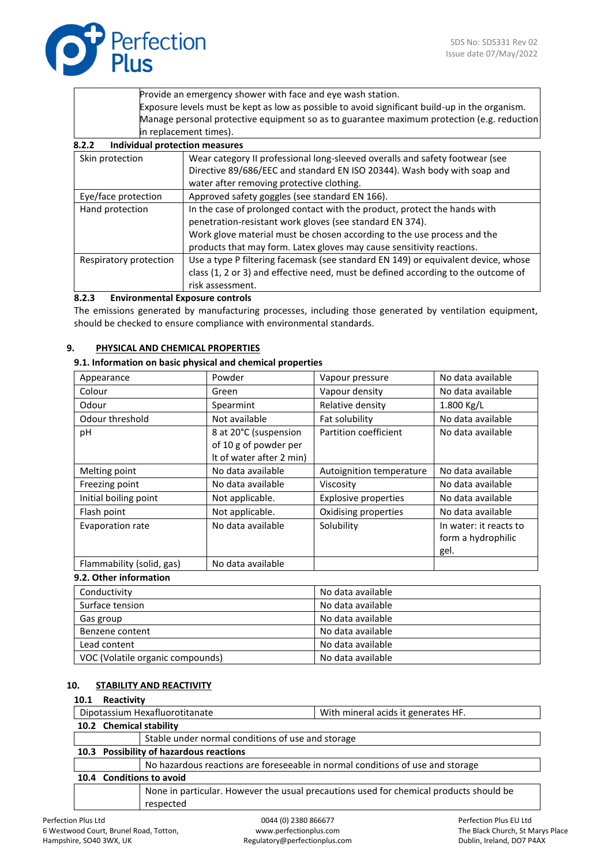

|                 | Provide an emergency shower with face and eye wash station.                                    |
|-----------------|------------------------------------------------------------------------------------------------|
|                 | Exposure levels must be kept as low as possible to avoid significant build-up in the organism. |
|                 | Manage personal protective equipment so as to guarantee maximum protection (e.g. reduction     |
|                 | in replacement times).                                                                         |
| 8.2.2           | <b>Individual protection measures</b>                                                          |
| Skin protection | Wear category II professional long-sleeved overalls and safety footwear (see                   |
|                 | Directive 89/686/EEC and standard EN ISO 20344). Wash body with soap and                       |

|                        | Directive 69/060/EEC and standard EN ISO 20344). Wasn bouy with soap and          |
|------------------------|-----------------------------------------------------------------------------------|
|                        | water after removing protective clothing.                                         |
| Eye/face protection    | Approved safety goggles (see standard EN 166).                                    |
| Hand protection        | In the case of prolonged contact with the product, protect the hands with         |
|                        | penetration-resistant work gloves (see standard EN 374).                          |
|                        | Work glove material must be chosen according to the use process and the           |
|                        | products that may form. Latex gloves may cause sensitivity reactions.             |
| Respiratory protection | Use a type P filtering facemask (see standard EN 149) or equivalent device, whose |
|                        | class (1, 2 or 3) and effective need, must be defined according to the outcome of |
|                        | risk assessment.                                                                  |

# **8.2.3 Environmental Exposure controls**

The emissions generated by manufacturing processes, including those generated by ventilation equipment, should be checked to ensure compliance with environmental standards.

#### **9. PHYSICAL AND CHEMICAL PROPERTIES**

#### **9.1. Information on basic physical and chemical properties**

| Appearance                | Powder                   | Vapour pressure             | No data available                                    |
|---------------------------|--------------------------|-----------------------------|------------------------------------------------------|
| Colour                    | Green                    | Vapour density              | No data available                                    |
| Odour                     | Spearmint                | Relative density            | $1.800$ Kg/L                                         |
| Odour threshold           | Not available            | Fat solubility              | No data available                                    |
| pH                        | 8 at 20°C (suspension    | Partition coefficient       | No data available                                    |
|                           | of 10 g of powder per    |                             |                                                      |
|                           | It of water after 2 min) |                             |                                                      |
| Melting point             | No data available        | Autoignition temperature    | No data available                                    |
| Freezing point            | No data available        | Viscosity                   | No data available                                    |
| Initial boiling point     | Not applicable.          | <b>Explosive properties</b> | No data available                                    |
| Flash point               | Not applicable.          | Oxidising properties        | No data available                                    |
| Evaporation rate          | No data available        | Solubility                  | In water: it reacts to<br>form a hydrophilic<br>gel. |
| Flammability (solid, gas) | No data available        |                             |                                                      |

#### **9.2. Other information**

| Conductivity                     | No data available |
|----------------------------------|-------------------|
| Surface tension                  | No data available |
| Gas group                        | No data available |
| Benzene content                  | No data available |
| Lead content                     | No data available |
| VOC (Volatile organic compounds) | No data available |

#### **10. STABILITY AND REACTIVITY**

| 10.1         | Reactivity                                                                                          |  |  |  |  |  |
|--------------|-----------------------------------------------------------------------------------------------------|--|--|--|--|--|
|              | Dipotassium Hexafluorotitanate<br>With mineral acids it generates HF.                               |  |  |  |  |  |
|              | 10.2 Chemical stability                                                                             |  |  |  |  |  |
|              | Stable under normal conditions of use and storage                                                   |  |  |  |  |  |
|              | 10.3 Possibility of hazardous reactions                                                             |  |  |  |  |  |
|              | No hazardous reactions are foreseeable in normal conditions of use and storage                      |  |  |  |  |  |
|              | 10.4 Conditions to avoid                                                                            |  |  |  |  |  |
|              | None in particular. However the usual precautions used for chemical products should be<br>respected |  |  |  |  |  |
| ion Plus Ltd | Perfection Plus EU Ltd<br>0044 (0) 2380 866677                                                      |  |  |  |  |  |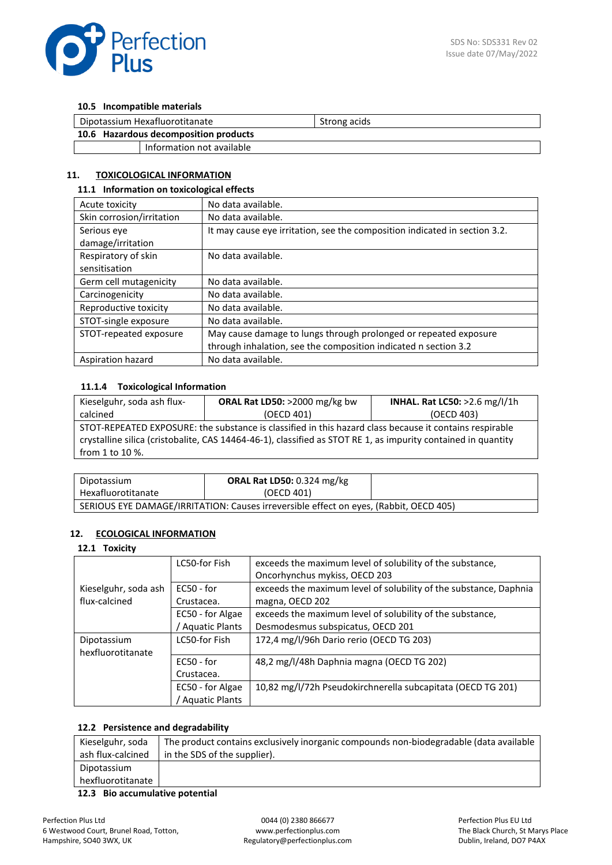

#### **10.5 Incompatible materials**

| Dipotassium Hexafluorotitanate        |  | Strong acids |
|---------------------------------------|--|--------------|
| 10.6 Hazardous decomposition products |  |              |
| Information not available             |  |              |

## **11. TOXICOLOGICAL INFORMATION**

#### **11.1 Information on toxicological effects**

| Acute toxicity            | No data available.                                                         |
|---------------------------|----------------------------------------------------------------------------|
| Skin corrosion/irritation | No data available.                                                         |
| Serious eye               | It may cause eye irritation, see the composition indicated in section 3.2. |
| damage/irritation         |                                                                            |
| Respiratory of skin       | No data available.                                                         |
| sensitisation             |                                                                            |
| Germ cell mutagenicity    | No data available.                                                         |
| Carcinogenicity           | No data available.                                                         |
| Reproductive toxicity     | No data available.                                                         |
| STOT-single exposure      | No data available.                                                         |
| STOT-repeated exposure    | May cause damage to lungs through prolonged or repeated exposure           |
|                           | through inhalation, see the composition indicated n section 3.2            |
| Aspiration hazard         | No data available.                                                         |

## **11.1.4 Toxicological Information**

| Kieselguhr, soda ash flux-                                                                                    | ORAL Rat LD50: >2000 mg/kg bw | <b>INHAL. Rat LC50: &gt;2.6 mg/l/1h</b> |  |  |  |
|---------------------------------------------------------------------------------------------------------------|-------------------------------|-----------------------------------------|--|--|--|
| calcined                                                                                                      | (OECD 401)                    | (OECD 403)                              |  |  |  |
| STOT-REPEATED EXPOSURE: the substance is classified in this hazard class because it contains respirable       |                               |                                         |  |  |  |
| crystalline silica (cristobalite, CAS 14464-46-1), classified as STOT RE 1, as impurity contained in quantity |                               |                                         |  |  |  |
| from 1 to $10\%$ .                                                                                            |                               |                                         |  |  |  |
|                                                                                                               |                               |                                         |  |  |  |

| Dipotassium                                                                           | <b>ORAL Rat LD50:</b> 0.324 mg/kg |  |  |  |
|---------------------------------------------------------------------------------------|-----------------------------------|--|--|--|
| Hexafluorotitanate                                                                    | (OECD 401)                        |  |  |  |
| SERIOUS EYE DAMAGE/IRRITATION: Causes irreversible effect on eyes, (Rabbit, OECD 405) |                                   |  |  |  |

# **12. ECOLOGICAL INFORMATION**

#### **12.1 Toxicity**

|                      | LC50-for Fish         | exceeds the maximum level of solubility of the substance,         |
|----------------------|-----------------------|-------------------------------------------------------------------|
|                      |                       | Oncorhynchus mykiss, OECD 203                                     |
| Kieselguhr, soda ash | $EC50 - for$          | exceeds the maximum level of solubility of the substance, Daphnia |
| flux-calcined        | Crustacea.            | magna, OECD 202                                                   |
|                      | EC50 - for Algae      | exceeds the maximum level of solubility of the substance,         |
|                      | <b>Aquatic Plants</b> | Desmodesmus subspicatus, OECD 201                                 |
| Dipotassium          | LC50-for Fish         | 172,4 mg/l/96h Dario rerio (OECD TG 203)                          |
| hexfluorotitanate    |                       |                                                                   |
|                      | $EC50 - for$          | 48,2 mg/l/48h Daphnia magna (OECD TG 202)                         |
|                      | Crustacea.            |                                                                   |
|                      | EC50 - for Algae      | 10,82 mg/l/72h Pseudokirchnerella subcapitata (OECD TG 201)       |
|                      | Aquatic Plants        |                                                                   |

## **12.2 Persistence and degradability**

| Kieselguhr, soda  | The product contains exclusively inorganic compounds non-biodegradable (data available |
|-------------------|----------------------------------------------------------------------------------------|
| ash flux-calcined | in the SDS of the supplier).                                                           |
| Dipotassium       |                                                                                        |
| hexfluorotitanate |                                                                                        |
| .                 |                                                                                        |

**12.3 Bio accumulative potential**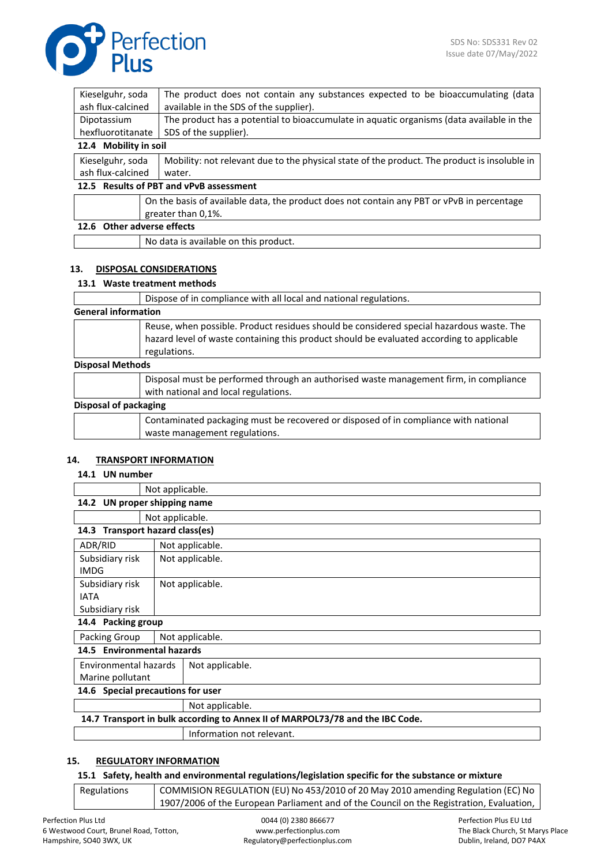

| Kieselguhr, soda<br>The product does not contain any substances expected to be bioaccumulating (data |                                                                                              |  |
|------------------------------------------------------------------------------------------------------|----------------------------------------------------------------------------------------------|--|
| ash flux-calcined<br>available in the SDS of the supplier).                                          |                                                                                              |  |
| Dipotassium                                                                                          | The product has a potential to bioaccumulate in aquatic organisms (data available in the     |  |
| hexfluorotitanate<br>SDS of the supplier).                                                           |                                                                                              |  |
| 12.4 Mobility in soil                                                                                |                                                                                              |  |
| Kieselguhr, soda                                                                                     | Mobility: not relevant due to the physical state of the product. The product is insoluble in |  |
| ash flux-calcined<br>water.                                                                          |                                                                                              |  |
| 12.5 Results of PBT and vPvB assessment                                                              |                                                                                              |  |
| On the basis of available data, the product does not contain any PBT or vPvB in percentage           |                                                                                              |  |
|                                                                                                      | greater than 0,1%.                                                                           |  |
| 12.6 Other adverse effects                                                                           |                                                                                              |  |

# No data is available on this product.

# **13. DISPOSAL CONSIDERATIONS**

#### **13.1 Waste treatment methods**

|                            | Dispose of in compliance with all local and national regulations.                                                                                                                                     |  |
|----------------------------|-------------------------------------------------------------------------------------------------------------------------------------------------------------------------------------------------------|--|
| <b>General information</b> |                                                                                                                                                                                                       |  |
|                            | Reuse, when possible. Product residues should be considered special hazardous waste. The<br>hazard level of waste containing this product should be evaluated according to applicable<br>regulations. |  |
| <b>Disposal Methods</b>    |                                                                                                                                                                                                       |  |
|                            | Disposal must be performed through an authorised waste management firm, in compliance<br>with national and local regulations.                                                                         |  |
|                            | Disposal of packaging                                                                                                                                                                                 |  |
|                            | Contaminated packaging must be recovered or disposed of in compliance with national<br>waste management regulations.                                                                                  |  |

#### **14. TRANSPORT INFORMATION**

#### **14.1 UN number**

|                                                                               | Not applicable. |  |
|-------------------------------------------------------------------------------|-----------------|--|
| UN proper shipping name<br>14.2                                               |                 |  |
| Not applicable.                                                               |                 |  |
| <b>Transport hazard class(es)</b><br>14.3                                     |                 |  |
| ADR/RID<br>Not applicable.                                                    |                 |  |
| Subsidiary risk                                                               | Not applicable. |  |
| <b>IMDG</b>                                                                   |                 |  |
| Subsidiary risk                                                               | Not applicable. |  |
| <b>IATA</b>                                                                   |                 |  |
| Subsidiary risk                                                               |                 |  |
| 14.4 Packing group                                                            |                 |  |
| Packing Group<br>Not applicable.                                              |                 |  |
| 14.5 Environmental hazards                                                    |                 |  |
| Environmental hazards                                                         | Not applicable. |  |
| Marine pollutant                                                              |                 |  |
| 14.6 Special precautions for user                                             |                 |  |
|                                                                               | Not applicable. |  |
| 14.7 Transport in bulk according to Annex II of MARPOL73/78 and the IBC Code. |                 |  |

Information not relevant.

## **15. REGULATORY INFORMATION**

#### **15.1 Safety, health and environmental regulations/legislation specific for the substance or mixture**

| Regulations | COMMISION REGULATION (EU) No 453/2010 of 20 May 2010 amending Regulation (EC) No         |
|-------------|------------------------------------------------------------------------------------------|
|             | 1907/2006 of the European Parliament and of the Council on the Registration, Evaluation, |